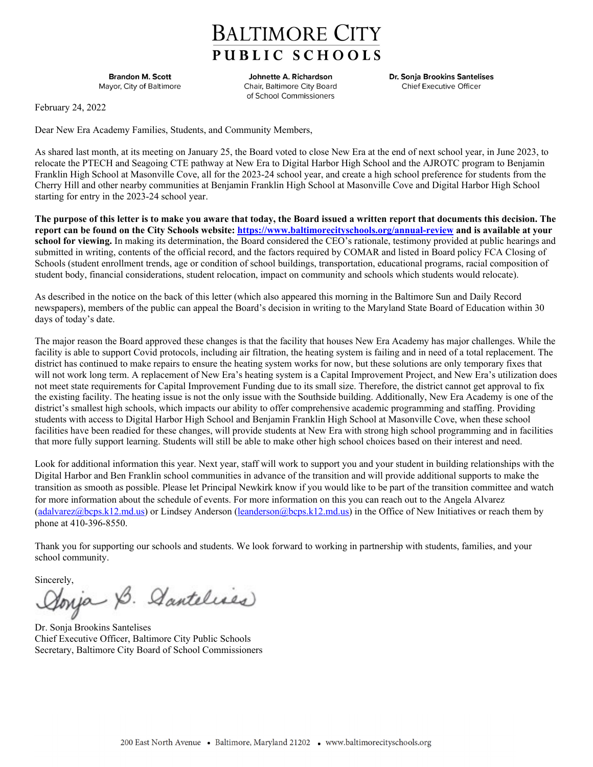## **BALTIMORE CITY** PUBLIC SCHOOLS

**Brandon M. Scott** Mayor, City of Baltimore

Johnette A. Richardson Chair, Baltimore City Board of School Commissioners

Dr. Sonja Brookins Santelises Chief Executive Officer

February 24, 2022

Dear New Era Academy Families, Students, and Community Members,

As shared last month, at its meeting on January 25, the Board voted to close New Era at the end of next school year, in June 2023, to relocate the PTECH and Seagoing CTE pathway at New Era to Digital Harbor High School and the AJROTC program to Benjamin Franklin High School at Masonville Cove, all for the 2023-24 school year, and create a high school preference for students from the Cherry Hill and other nearby communities at Benjamin Franklin High School at Masonville Cove and Digital Harbor High School starting for entry in the 2023-24 school year.

**The purpose of this letter is to make you aware that today, the Board issued a written report that documents this decision. The report can be found on the City Schools website: https://www.baltimorecityschools.org/annual-review and is available at your school for viewing.** In making its determination, the Board considered the CEO's rationale, testimony provided at public hearings and submitted in writing, contents of the official record, and the factors required by COMAR and listed in Board policy FCA Closing of Schools (student enrollment trends, age or condition of school buildings, transportation, educational programs, racial composition of student body, financial considerations, student relocation, impact on community and schools which students would relocate).

As described in the notice on the back of this letter (which also appeared this morning in the Baltimore Sun and Daily Record newspapers), members of the public can appeal the Board's decision in writing to the Maryland State Board of Education within 30 days of today's date.

The major reason the Board approved these changes is that the facility that houses New Era Academy has major challenges. While the facility is able to support Covid protocols, including air filtration, the heating system is failing and in need of a total replacement. The district has continued to make repairs to ensure the heating system works for now, but these solutions are only temporary fixes that will not work long term. A replacement of New Era's heating system is a Capital Improvement Project, and New Era's utilization does not meet state requirements for Capital Improvement Funding due to its small size. Therefore, the district cannot get approval to fix the existing facility. The heating issue is not the only issue with the Southside building. Additionally, New Era Academy is one of the district's smallest high schools, which impacts our ability to offer comprehensive academic programming and staffing. Providing students with access to Digital Harbor High School and Benjamin Franklin High School at Masonville Cove, when these school facilities have been readied for these changes, will provide students at New Era with strong high school programming and in facilities that more fully support learning. Students will still be able to make other high school choices based on their interest and need.

Look for additional information this year. Next year, staff will work to support you and your student in building relationships with the Digital Harbor and Ben Franklin school communities in advance of the transition and will provide additional supports to make the transition as smooth as possible. Please let Principal Newkirk know if you would like to be part of the transition committee and watch for more information about the schedule of events. For more information on this you can reach out to the Angela Alvarez (adalvarez@bcps.k12.md.us) or Lindsey Anderson (leanderson@bcps.k12.md.us) in the Office of New Initiatives or reach them by phone at 410-396-8550.

Thank you for supporting our schools and students. We look forward to working in partnership with students, families, and your school community.

Sincerely,<br>Aonja B. Aantelises

Dr. Sonja Brookins Santelises Chief Executive Officer, Baltimore City Public Schools Secretary, Baltimore City Board of School Commissioners